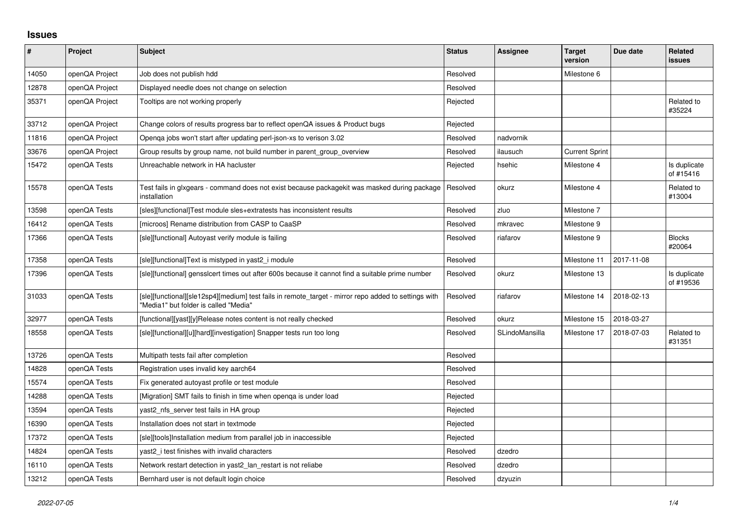## **Issues**

| #     | Project        | <b>Subject</b>                                                                                                                                | <b>Status</b> | Assignee       | <b>Target</b><br>version | Due date   | <b>Related</b><br><b>issues</b> |
|-------|----------------|-----------------------------------------------------------------------------------------------------------------------------------------------|---------------|----------------|--------------------------|------------|---------------------------------|
| 14050 | openQA Project | Job does not publish hdd                                                                                                                      | Resolved      |                | Milestone 6              |            |                                 |
| 12878 | openQA Project | Displayed needle does not change on selection                                                                                                 | Resolved      |                |                          |            |                                 |
| 35371 | openQA Project | Tooltips are not working properly                                                                                                             | Rejected      |                |                          |            | Related to<br>#35224            |
| 33712 | openQA Project | Change colors of results progress bar to reflect openQA issues & Product bugs                                                                 | Rejected      |                |                          |            |                                 |
| 11816 | openQA Project | Openga jobs won't start after updating perl-json-xs to verison 3.02                                                                           | Resolved      | nadvornik      |                          |            |                                 |
| 33676 | openQA Project | Group results by group name, not build number in parent_group_overview                                                                        | Resolved      | ilausuch       | <b>Current Sprint</b>    |            |                                 |
| 15472 | openQA Tests   | Unreachable network in HA hacluster                                                                                                           | Rejected      | hsehic         | Milestone 4              |            | Is duplicate<br>of #15416       |
| 15578 | openQA Tests   | Test fails in glxgears - command does not exist because packagekit was masked during package<br>installation                                  | Resolved      | okurz          | Milestone 4              |            | Related to<br>#13004            |
| 13598 | openQA Tests   | [sles][functional]Test module sles+extratests has inconsistent results                                                                        | Resolved      | zluo           | Milestone 7              |            |                                 |
| 16412 | openQA Tests   | [microos] Rename distribution from CASP to CaaSP                                                                                              | Resolved      | mkravec        | Milestone 9              |            |                                 |
| 17366 | openQA Tests   | [sle][functional] Autoyast verify module is failing                                                                                           | Resolved      | riafarov       | Milestone 9              |            | <b>Blocks</b><br>#20064         |
| 17358 | openQA Tests   | [sle][functional]Text is mistyped in yast2_i module                                                                                           | Resolved      |                | Milestone 11             | 2017-11-08 |                                 |
| 17396 | openQA Tests   | [sle][functional] gensslcert times out after 600s because it cannot find a suitable prime number                                              | Resolved      | okurz          | Milestone 13             |            | Is duplicate<br>of #19536       |
| 31033 | openQA Tests   | [sle][functional][sle12sp4][medium] test fails in remote_target - mirror repo added to settings with<br>"Media1" but folder is called "Media" | Resolved      | riafarov       | Milestone 14             | 2018-02-13 |                                 |
| 32977 | openQA Tests   | [functional][yast][y]Release notes content is not really checked                                                                              | Resolved      | okurz          | Milestone 15             | 2018-03-27 |                                 |
| 18558 | openQA Tests   | [sle][functional][u][hard][investigation] Snapper tests run too long                                                                          | Resolved      | SLindoMansilla | Milestone 17             | 2018-07-03 | Related to<br>#31351            |
| 13726 | openQA Tests   | Multipath tests fail after completion                                                                                                         | Resolved      |                |                          |            |                                 |
| 14828 | openQA Tests   | Registration uses invalid key aarch64                                                                                                         | Resolved      |                |                          |            |                                 |
| 15574 | openQA Tests   | Fix generated autoyast profile or test module                                                                                                 | Resolved      |                |                          |            |                                 |
| 14288 | openQA Tests   | [Migration] SMT fails to finish in time when openqa is under load                                                                             | Rejected      |                |                          |            |                                 |
| 13594 | openQA Tests   | yast2 nfs server test fails in HA group                                                                                                       | Rejected      |                |                          |            |                                 |
| 16390 | openQA Tests   | Installation does not start in textmode                                                                                                       | Rejected      |                |                          |            |                                 |
| 17372 | openQA Tests   | [sle][tools]Installation medium from parallel job in inaccessible                                                                             | Rejected      |                |                          |            |                                 |
| 14824 | openQA Tests   | yast2 i test finishes with invalid characters                                                                                                 | Resolved      | dzedro         |                          |            |                                 |
| 16110 | openQA Tests   | Network restart detection in yast2_lan_restart is not reliabe                                                                                 | Resolved      | dzedro         |                          |            |                                 |
| 13212 | openQA Tests   | Bernhard user is not default login choice                                                                                                     | Resolved      | dzyuzin        |                          |            |                                 |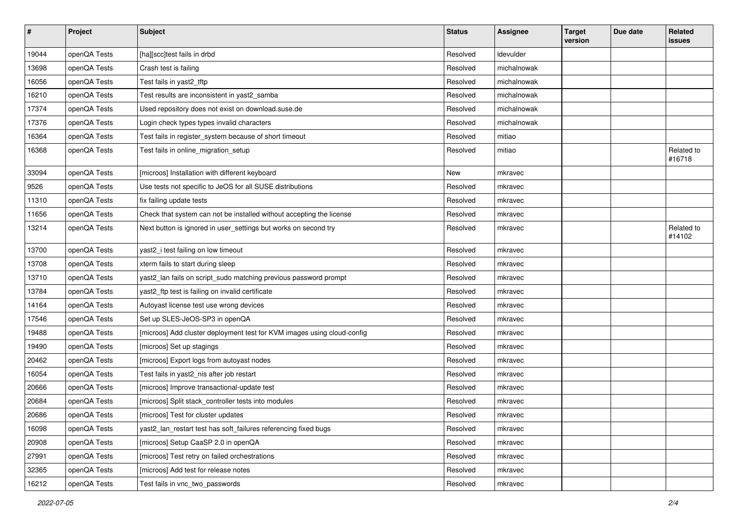| $\sharp$ | Project      | <b>Subject</b>                                                          | <b>Status</b> | Assignee    | <b>Target</b><br>version | Due date | Related<br><b>issues</b> |
|----------|--------------|-------------------------------------------------------------------------|---------------|-------------|--------------------------|----------|--------------------------|
| 19044    | openQA Tests | [ha][scc]test fails in drbd                                             | Resolved      | Idevulder   |                          |          |                          |
| 13698    | openQA Tests | Crash test is failing                                                   | Resolved      | michalnowak |                          |          |                          |
| 16056    | openQA Tests | Test fails in yast2_tftp                                                | Resolved      | michalnowak |                          |          |                          |
| 16210    | openQA Tests | Test results are inconsistent in yast2_samba                            | Resolved      | michalnowak |                          |          |                          |
| 17374    | openQA Tests | Used repository does not exist on download.suse.de                      | Resolved      | michalnowak |                          |          |                          |
| 17376    | openQA Tests | Login check types types invalid characters                              | Resolved      | michalnowak |                          |          |                          |
| 16364    | openQA Tests | Test fails in register_system because of short timeout                  | Resolved      | mitiao      |                          |          |                          |
| 16368    | openQA Tests | Test fails in online_migration_setup                                    | Resolved      | mitiao      |                          |          | Related to<br>#16718     |
| 33094    | openQA Tests | [microos] Installation with different keyboard                          | New           | mkravec     |                          |          |                          |
| 9526     | openQA Tests | Use tests not specific to JeOS for all SUSE distributions               | Resolved      | mkravec     |                          |          |                          |
| 11310    | openQA Tests | fix failing update tests                                                | Resolved      | mkravec     |                          |          |                          |
| 11656    | openQA Tests | Check that system can not be installed without accepting the license    | Resolved      | mkravec     |                          |          |                          |
| 13214    | openQA Tests | Next button is ignored in user_settings but works on second try         | Resolved      | mkravec     |                          |          | Related to<br>#14102     |
| 13700    | openQA Tests | yast2_i test failing on low timeout                                     | Resolved      | mkravec     |                          |          |                          |
| 13708    | openQA Tests | xterm fails to start during sleep                                       | Resolved      | mkravec     |                          |          |                          |
| 13710    | openQA Tests | yast2_lan fails on script_sudo matching previous password prompt        | Resolved      | mkravec     |                          |          |                          |
| 13784    | openQA Tests | yast2_ftp test is failing on invalid certificate                        | Resolved      | mkravec     |                          |          |                          |
| 14164    | openQA Tests | Autoyast license test use wrong devices                                 | Resolved      | mkravec     |                          |          |                          |
| 17546    | openQA Tests | Set up SLES-JeOS-SP3 in openQA                                          | Resolved      | mkravec     |                          |          |                          |
| 19488    | openQA Tests | [microos] Add cluster deployment test for KVM images using cloud-config | Resolved      | mkravec     |                          |          |                          |
| 19490    | openQA Tests | [microos] Set up stagings                                               | Resolved      | mkravec     |                          |          |                          |
| 20462    | openQA Tests | [microos] Export logs from autoyast nodes                               | Resolved      | mkravec     |                          |          |                          |
| 16054    | openQA Tests | Test fails in yast2_nis after job restart                               | Resolved      | mkravec     |                          |          |                          |
| 20666    | openQA Tests | [microos] Improve transactional-update test                             | Resolved      | mkravec     |                          |          |                          |
| 20684    | openQA Tests | [microos] Split stack_controller tests into modules                     | Resolved      | mkravec     |                          |          |                          |
| 20686    | openQA Tests | [microos] Test for cluster updates                                      | Resolved      | mkravec     |                          |          |                          |
| 16098    | openQA Tests | yast2_lan_restart test has soft_failures referencing fixed bugs         | Resolved      | mkravec     |                          |          |                          |
| 20908    | openQA Tests | [microos] Setup CaaSP 2.0 in openQA                                     | Resolved      | mkravec     |                          |          |                          |
| 27991    | openQA Tests | [microos] Test retry on failed orchestrations                           | Resolved      | mkravec     |                          |          |                          |
| 32365    | openQA Tests | [microos] Add test for release notes                                    | Resolved      | mkravec     |                          |          |                          |
| 16212    | openQA Tests | Test fails in vnc_two_passwords                                         | Resolved      | mkravec     |                          |          |                          |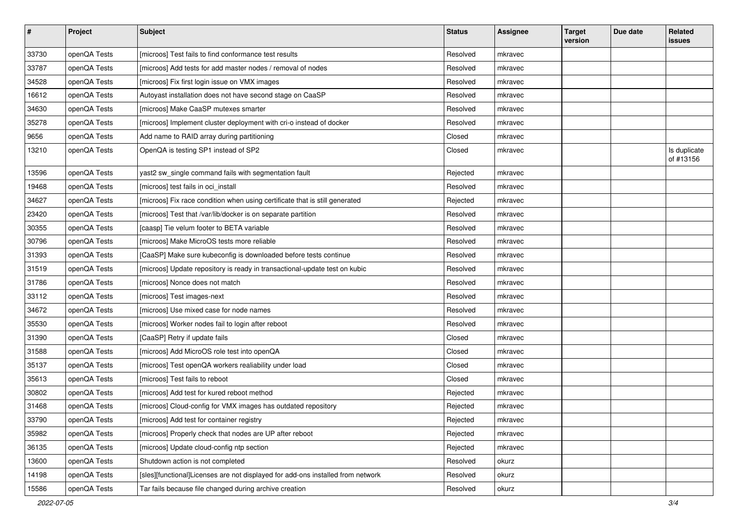| $\vert$ # | Project      | <b>Subject</b>                                                                  | <b>Status</b> | <b>Assignee</b> | <b>Target</b><br>version | Due date | Related<br><b>issues</b>  |
|-----------|--------------|---------------------------------------------------------------------------------|---------------|-----------------|--------------------------|----------|---------------------------|
| 33730     | openQA Tests | [microos] Test fails to find conformance test results                           | Resolved      | mkravec         |                          |          |                           |
| 33787     | openQA Tests | [microos] Add tests for add master nodes / removal of nodes                     | Resolved      | mkravec         |                          |          |                           |
| 34528     | openQA Tests | [microos] Fix first login issue on VMX images                                   | Resolved      | mkravec         |                          |          |                           |
| 16612     | openQA Tests | Autoyast installation does not have second stage on CaaSP                       | Resolved      | mkravec         |                          |          |                           |
| 34630     | openQA Tests | [microos] Make CaaSP mutexes smarter                                            | Resolved      | mkravec         |                          |          |                           |
| 35278     | openQA Tests | [microos] Implement cluster deployment with cri-o instead of docker             | Resolved      | mkravec         |                          |          |                           |
| 9656      | openQA Tests | Add name to RAID array during partitioning                                      | Closed        | mkravec         |                          |          |                           |
| 13210     | openQA Tests | OpenQA is testing SP1 instead of SP2                                            | Closed        | mkravec         |                          |          | Is duplicate<br>of #13156 |
| 13596     | openQA Tests | yast2 sw_single command fails with segmentation fault                           | Rejected      | mkravec         |                          |          |                           |
| 19468     | openQA Tests | [microos] test fails in oci_install                                             | Resolved      | mkravec         |                          |          |                           |
| 34627     | openQA Tests | [microos] Fix race condition when using certificate that is still generated     | Rejected      | mkravec         |                          |          |                           |
| 23420     | openQA Tests | [microos] Test that /var/lib/docker is on separate partition                    | Resolved      | mkravec         |                          |          |                           |
| 30355     | openQA Tests | [caasp] Tie velum footer to BETA variable                                       | Resolved      | mkravec         |                          |          |                           |
| 30796     | openQA Tests | [microos] Make MicroOS tests more reliable                                      | Resolved      | mkravec         |                          |          |                           |
| 31393     | openQA Tests | [CaaSP] Make sure kubeconfig is downloaded before tests continue                | Resolved      | mkravec         |                          |          |                           |
| 31519     | openQA Tests | [microos] Update repository is ready in transactional-update test on kubic      | Resolved      | mkravec         |                          |          |                           |
| 31786     | openQA Tests | [microos] Nonce does not match                                                  | Resolved      | mkravec         |                          |          |                           |
| 33112     | openQA Tests | [microos] Test images-next                                                      | Resolved      | mkravec         |                          |          |                           |
| 34672     | openQA Tests | [microos] Use mixed case for node names                                         | Resolved      | mkravec         |                          |          |                           |
| 35530     | openQA Tests | [microos] Worker nodes fail to login after reboot                               | Resolved      | mkravec         |                          |          |                           |
| 31390     | openQA Tests | [CaaSP] Retry if update fails                                                   | Closed        | mkravec         |                          |          |                           |
| 31588     | openQA Tests | [microos] Add MicroOS role test into openQA                                     | Closed        | mkravec         |                          |          |                           |
| 35137     | openQA Tests | [microos] Test openQA workers realiability under load                           | Closed        | mkravec         |                          |          |                           |
| 35613     | openQA Tests | [microos] Test fails to reboot                                                  | Closed        | mkravec         |                          |          |                           |
| 30802     | openQA Tests | [microos] Add test for kured reboot method                                      | Rejected      | mkravec         |                          |          |                           |
| 31468     | openQA Tests | [microos] Cloud-config for VMX images has outdated repository                   | Rejected      | mkravec         |                          |          |                           |
| 33790     | openQA Tests | [microos] Add test for container registry                                       | Rejected      | mkravec         |                          |          |                           |
| 35982     | openQA Tests | [microos] Properly check that nodes are UP after reboot                         | Rejected      | mkravec         |                          |          |                           |
| 36135     | openQA Tests | [microos] Update cloud-config ntp section                                       | Rejected      | mkravec         |                          |          |                           |
| 13600     | openQA Tests | Shutdown action is not completed                                                | Resolved      | okurz           |                          |          |                           |
| 14198     | openQA Tests | [sles][functional]Licenses are not displayed for add-ons installed from network | Resolved      | okurz           |                          |          |                           |
| 15586     | openQA Tests | Tar fails because file changed during archive creation                          | Resolved      | okurz           |                          |          |                           |